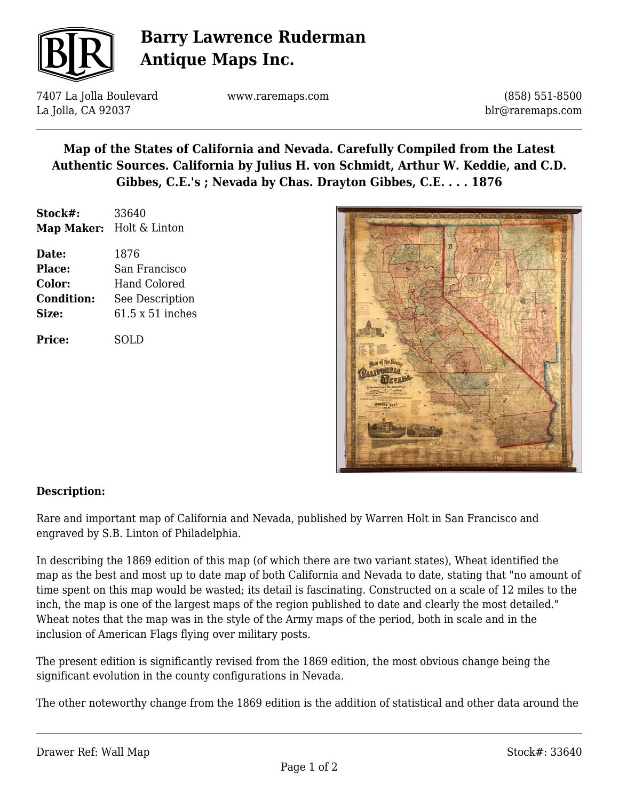

# **Barry Lawrence Ruderman Antique Maps Inc.**

7407 La Jolla Boulevard La Jolla, CA 92037

www.raremaps.com

(858) 551-8500 blr@raremaps.com

### **Map of the States of California and Nevada. Carefully Compiled from the Latest Authentic Sources. California by Julius H. von Schmidt, Arthur W. Keddie, and C.D. Gibbes, C.E.'s ; Nevada by Chas. Drayton Gibbes, C.E. . . . 1876**

| Stock#:           | 33640                    |
|-------------------|--------------------------|
|                   | Map Maker: Holt & Linton |
| Date:             | 1876                     |
| <b>Place:</b>     | San Francisco            |
| Color:            | <b>Hand Colored</b>      |
| <b>Condition:</b> | See Description          |

**Size:** 61.5 x 51 inches

**Price:** SOLD



#### **Description:**

Rare and important map of California and Nevada, published by Warren Holt in San Francisco and engraved by S.B. Linton of Philadelphia.

In describing the 1869 edition of this map (of which there are two variant states), Wheat identified the map as the best and most up to date map of both California and Nevada to date, stating that "no amount of time spent on this map would be wasted; its detail is fascinating. Constructed on a scale of 12 miles to the inch, the map is one of the largest maps of the region published to date and clearly the most detailed." Wheat notes that the map was in the style of the Army maps of the period, both in scale and in the inclusion of American Flags flying over military posts.

The present edition is significantly revised from the 1869 edition, the most obvious change being the significant evolution in the county configurations in Nevada.

The other noteworthy change from the 1869 edition is the addition of statistical and other data around the